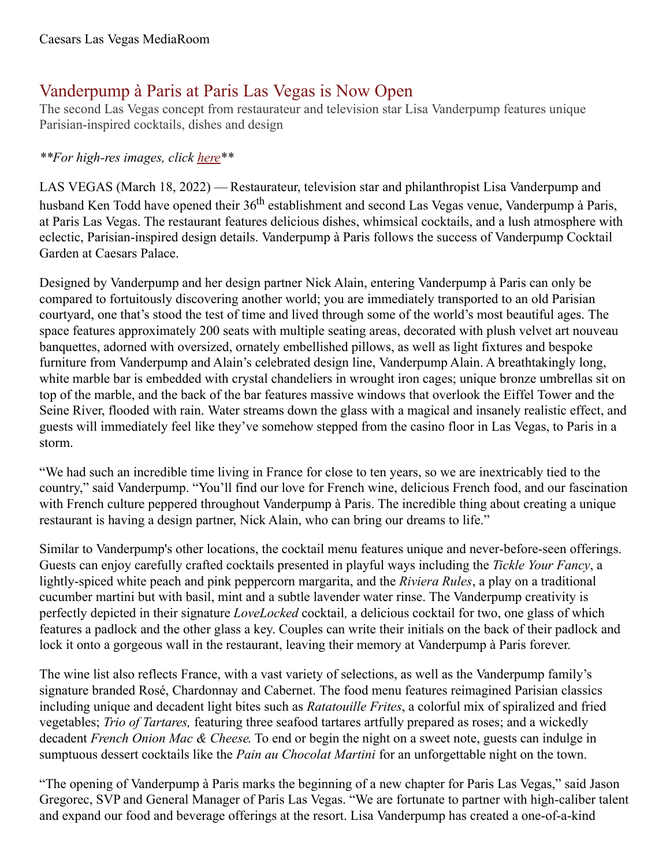## Vanderpump à Paris at Paris Las Vegas is Now Open

The second Las Vegas concept from restaurateur and television star Lisa Vanderpump features unique Parisian-inspired cocktails, dishes and design

## *\*\*For high-res images, click [here](https://www.dropbox.com/sh/svntf65vh1gr0xs/AAA2SKA2Y1yQl3RbA1o5Qwdka?dl=0)\*\**

LAS VEGAS (March 18, 2022) — Restaurateur, television star and philanthropist Lisa Vanderpump and husband Ken Todd have opened their 36<sup>th</sup> establishment and second Las Vegas venue, Vanderpump à Paris, at Paris Las Vegas. The restaurant features delicious dishes, whimsical cocktails, and a lush atmosphere with eclectic, Parisian-inspired design details. Vanderpump à Paris follows the success of Vanderpump Cocktail Garden at Caesars Palace.

Designed by Vanderpump and her design partner Nick Alain, entering Vanderpump à Paris can only be compared to fortuitously discovering another world; you are immediately transported to an old Parisian courtyard, one that's stood the test of time and lived through some of the world's most beautiful ages. The space features approximately 200 seats with multiple seating areas, decorated with plush velvet art nouveau banquettes, adorned with oversized, ornately embellished pillows, as well as light fixtures and bespoke furniture from Vanderpump and Alain's celebrated design line, Vanderpump Alain. A breathtakingly long, white marble bar is embedded with crystal chandeliers in wrought iron cages; unique bronze umbrellas sit on top of the marble, and the back of the bar features massive windows that overlook the Eiffel Tower and the Seine River, flooded with rain. Water streams down the glass with a magical and insanely realistic effect, and guests will immediately feel like they've somehow stepped from the casino floor in Las Vegas, to Paris in a storm.

"We had such an incredible time living in France for close to ten years, so we are inextricably tied to the country," said Vanderpump. "You'll find our love for French wine, delicious French food, and our fascination with French culture peppered throughout Vanderpump à Paris. The incredible thing about creating a unique restaurant is having a design partner, Nick Alain, who can bring our dreams to life."

Similar to Vanderpump's other locations, the cocktail menu features unique and never-before-seen offerings. Guests can enjoy carefully crafted cocktails presented in playful ways including the *Tickle Your Fancy*, a lightly-spiced white peach and pink peppercorn margarita, and the *Riviera Rules*, a play on a traditional cucumber martini but with basil, mint and a subtle lavender water rinse. The Vanderpump creativity is perfectly depicted in their signature *LoveLocked* cocktail*,* a delicious cocktail for two, one glass of which features a padlock and the other glass a key. Couples can write their initials on the back of their padlock and lock it onto a gorgeous wall in the restaurant, leaving their memory at Vanderpump à Paris forever.

The wine list also reflects France, with a vast variety of selections, as well as the Vanderpump family's signature branded Rosé, Chardonnay and Cabernet. The food menu features reimagined Parisian classics including unique and decadent light bites such as *Ratatouille Frites*, a colorful mix of spiralized and fried vegetables; *Trio of Tartares,* featuring three seafood tartares artfully prepared as roses; and a wickedly decadent *French Onion Mac & Cheese*. To end or begin the night on a sweet note, guests can indulge in sumptuous dessert cocktails like the *Pain au Chocolat Martini* for an unforgettable night on the town.

"The opening of Vanderpump à Paris marks the beginning of a new chapter for Paris Las Vegas," said Jason Gregorec, SVP and General Manager of Paris Las Vegas. "We are fortunate to partner with high-caliber talent and expand our food and beverage offerings at the resort. Lisa Vanderpump has created a one-of-a-kind